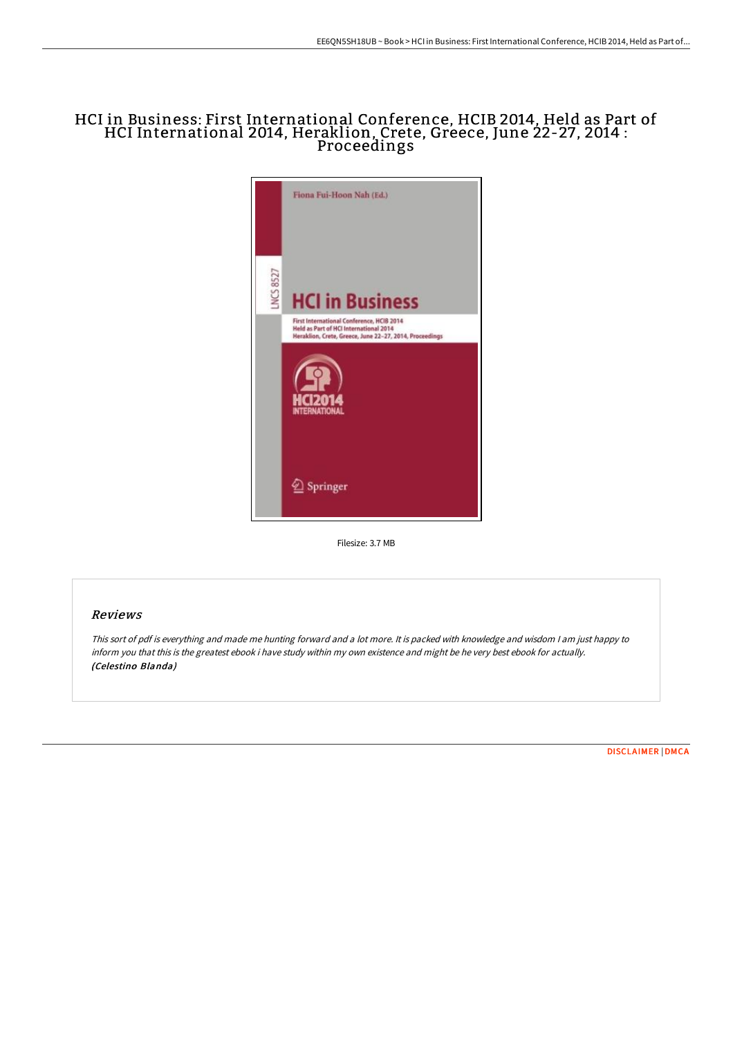# HCI in Business: First International Conference, HCIB 2014, Held as Part of HCI International 2014, Heraklion, Crete, Greece, June 22-27, 2014 : Proceedings



Filesize: 3.7 MB

## Reviews

This sort of pdf is everything and made me hunting forward and <sup>a</sup> lot more. It is packed with knowledge and wisdom <sup>I</sup> am just happy to inform you that this is the greatest ebook i have study within my own existence and might be he very best ebook for actually. (Celestino Blanda)

[DISCLAIMER](http://www.bookdirs.com/disclaimer.html) | [DMCA](http://www.bookdirs.com/dmca.html)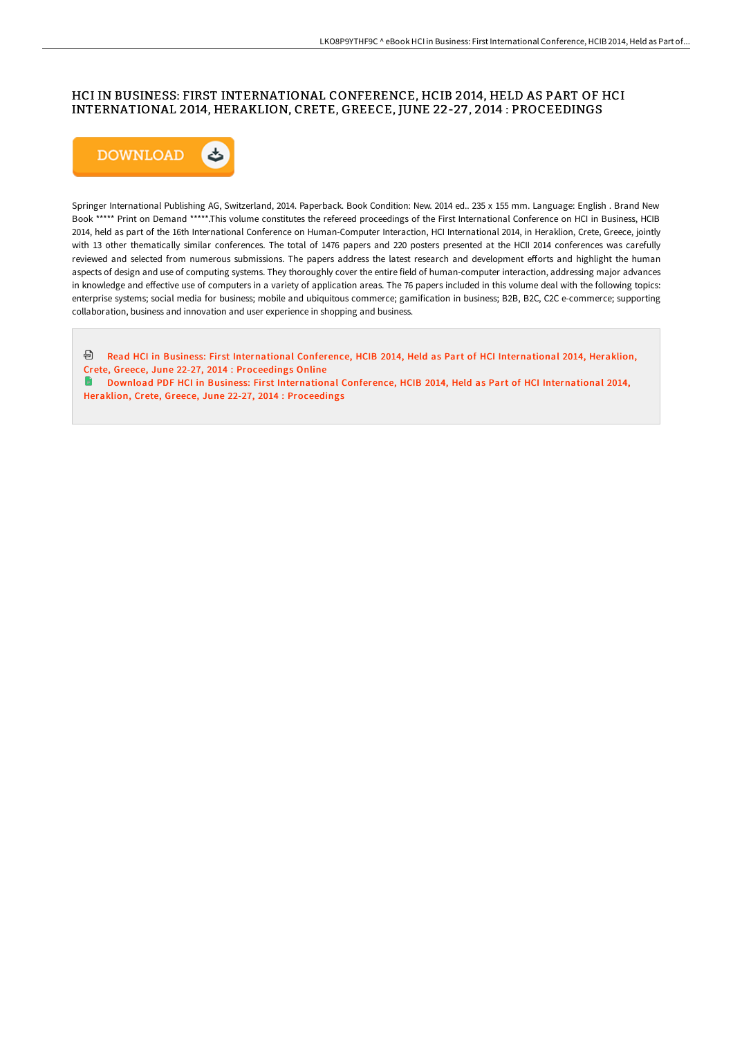### HCI IN BUSINESS: FIRST INTERNATIONAL CONFERENCE, HCIB 2014, HELD AS PART OF HCI INTERNATIONAL 2014, HERAKLION, CRETE, GREECE, JUNE 22-27 , 2014 : PROCEEDINGS



Springer International Publishing AG, Switzerland, 2014. Paperback. Book Condition: New. 2014 ed.. 235 x 155 mm. Language: English . Brand New Book \*\*\*\*\* Print on Demand \*\*\*\*\*.This volume constitutes the refereed proceedings of the First International Conference on HCI in Business, HCIB 2014, held as part of the 16th International Conference on Human-Computer Interaction, HCI International 2014, in Heraklion, Crete, Greece, jointly with 13 other thematically similar conferences. The total of 1476 papers and 220 posters presented at the HCII 2014 conferences was carefully reviewed and selected from numerous submissions. The papers address the latest research and development efforts and highlight the human aspects of design and use of computing systems. They thoroughly cover the entire field of human-computer interaction, addressing major advances in knowledge and effective use of computers in a variety of application areas. The 76 papers included in this volume deal with the following topics: enterprise systems; social media for business; mobile and ubiquitous commerce; gamification in business; B2B, B2C, C2C e-commerce; supporting collaboration, business and innovation and user experience in shopping and business.

<sup>回</sup> Read HCI in Business: First [International](http://www.bookdirs.com/hci-in-business-first-international-conference-h.html) Conference, HCIB 2014, Held as Part of HCI International 2014, Heraklion, Crete, Greece, June 22-27, 2014 : Proceedings Online Download PDF HCI in Business: First [International](http://www.bookdirs.com/hci-in-business-first-international-conference-h.html) Conference, HCIB 2014, Held as Part of HCI International 2014, G. Heraklion, Crete, Greece, June 22-27, 2014 : Proceedings